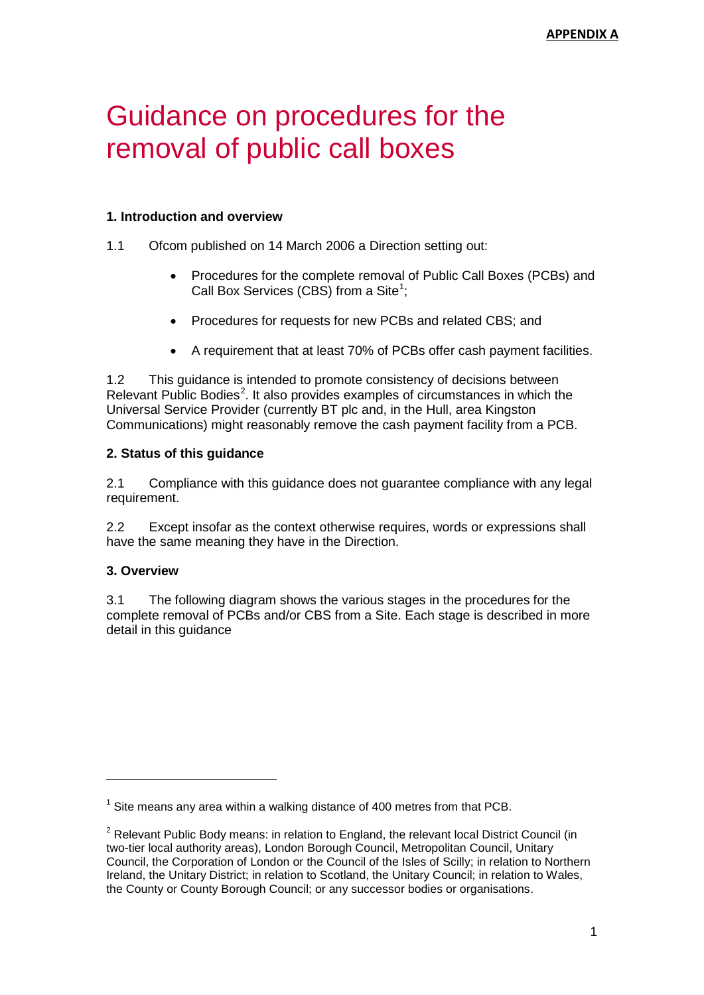# Guidance on procedures for the removal of public call boxes

## **1. Introduction and overview**

- 1.1 Ofcom published on 14 March 2006 a Direction setting out:
	- Procedures for the complete removal of Public Call Boxes (PCBs) and Call Box Services (CBS) from a Site<sup>[1](#page-0-0)</sup>;
	- Procedures for requests for new PCBs and related CBS; and
	- A requirement that at least 70% of PCBs offer cash payment facilities.

1.2 This guidance is intended to promote consistency of decisions between Relevant Public Bodies<sup>[2](#page-0-1)</sup>. It also provides examples of circumstances in which the Universal Service Provider (currently BT plc and, in the Hull, area Kingston Communications) might reasonably remove the cash payment facility from a PCB.

### **2. Status of this guidance**

2.1 Compliance with this guidance does not guarantee compliance with any legal requirement.

2.2 Except insofar as the context otherwise requires, words or expressions shall have the same meaning they have in the Direction.

# **3. Overview**

3.1 The following diagram shows the various stages in the procedures for the complete removal of PCBs and/or CBS from a Site. Each stage is described in more detail in this guidance

<span id="page-0-0"></span> $1$  Site means any area within a walking distance of 400 metres from that PCB.

<span id="page-0-1"></span> $2$  Relevant Public Body means: in relation to England, the relevant local District Council (in two-tier local authority areas), London Borough Council, Metropolitan Council, Unitary Council, the Corporation of London or the Council of the Isles of Scilly; in relation to Northern Ireland, the Unitary District; in relation to Scotland, the Unitary Council; in relation to Wales, the County or County Borough Council; or any successor bodies or organisations.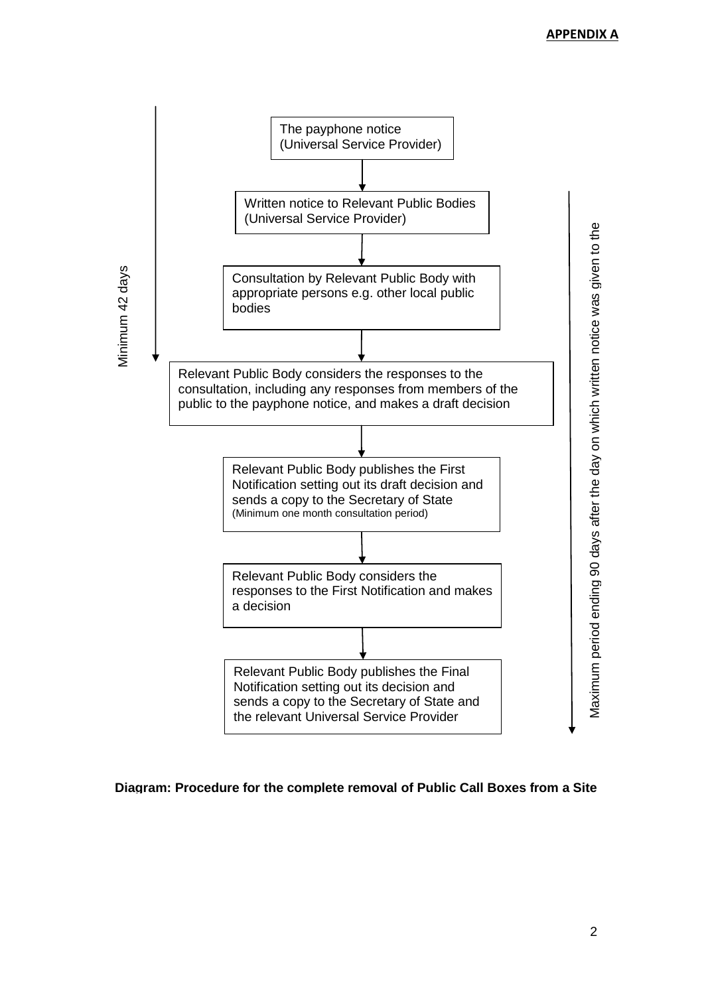

# **Diagram: Procedure for the complete removal of Public Call Boxes from a Site**

2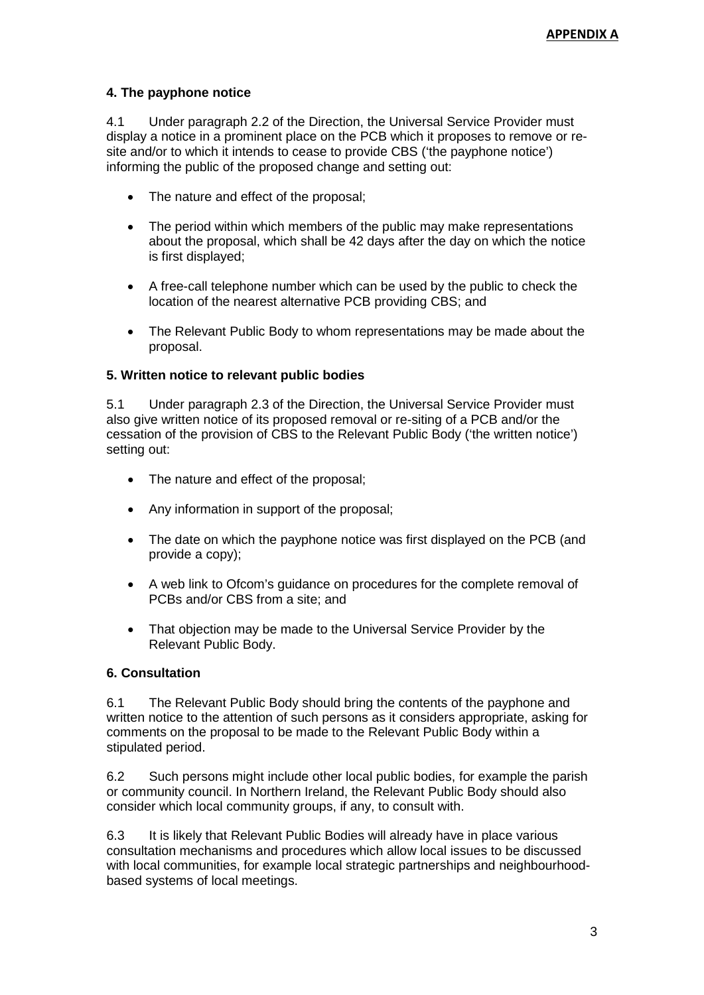# **4. The payphone notice**

4.1 Under paragraph 2.2 of the Direction, the Universal Service Provider must display a notice in a prominent place on the PCB which it proposes to remove or resite and/or to which it intends to cease to provide CBS ('the payphone notice') informing the public of the proposed change and setting out:

- The nature and effect of the proposal;
- The period within which members of the public may make representations about the proposal, which shall be 42 days after the day on which the notice is first displayed;
- A free-call telephone number which can be used by the public to check the location of the nearest alternative PCB providing CBS; and
- The Relevant Public Body to whom representations may be made about the proposal.

### **5. Written notice to relevant public bodies**

5.1 Under paragraph 2.3 of the Direction, the Universal Service Provider must also give written notice of its proposed removal or re-siting of a PCB and/or the cessation of the provision of CBS to the Relevant Public Body ('the written notice') setting out:

- The nature and effect of the proposal;
- Any information in support of the proposal;
- The date on which the payphone notice was first displayed on the PCB (and provide a copy);
- A web link to Ofcom's guidance on procedures for the complete removal of PCBs and/or CBS from a site; and
- That objection may be made to the Universal Service Provider by the Relevant Public Body.

#### **6. Consultation**

6.1 The Relevant Public Body should bring the contents of the payphone and written notice to the attention of such persons as it considers appropriate, asking for comments on the proposal to be made to the Relevant Public Body within a stipulated period.

6.2 Such persons might include other local public bodies, for example the parish or community council. In Northern Ireland, the Relevant Public Body should also consider which local community groups, if any, to consult with.

6.3 It is likely that Relevant Public Bodies will already have in place various consultation mechanisms and procedures which allow local issues to be discussed with local communities, for example local strategic partnerships and neighbourhoodbased systems of local meetings.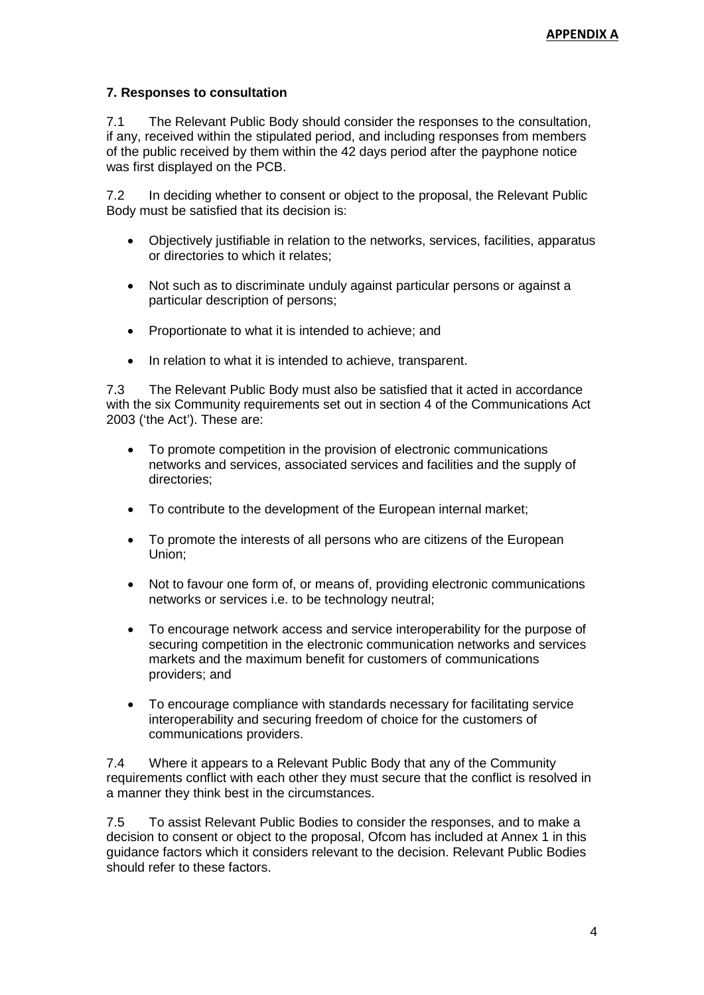# **7. Responses to consultation**

7.1 The Relevant Public Body should consider the responses to the consultation, if any, received within the stipulated period, and including responses from members of the public received by them within the 42 days period after the payphone notice was first displayed on the PCB.

7.2 In deciding whether to consent or object to the proposal, the Relevant Public Body must be satisfied that its decision is:

- Objectively justifiable in relation to the networks, services, facilities, apparatus or directories to which it relates;
- Not such as to discriminate unduly against particular persons or against a particular description of persons;
- Proportionate to what it is intended to achieve; and
- In relation to what it is intended to achieve, transparent.

7.3 The Relevant Public Body must also be satisfied that it acted in accordance with the six Community requirements set out in section 4 of the Communications Act 2003 ('the Act'). These are:

- To promote competition in the provision of electronic communications networks and services, associated services and facilities and the supply of directories;
- To contribute to the development of the European internal market;
- To promote the interests of all persons who are citizens of the European Union;
- Not to favour one form of, or means of, providing electronic communications networks or services i.e. to be technology neutral;
- To encourage network access and service interoperability for the purpose of securing competition in the electronic communication networks and services markets and the maximum benefit for customers of communications providers; and
- To encourage compliance with standards necessary for facilitating service interoperability and securing freedom of choice for the customers of communications providers.

7.4 Where it appears to a Relevant Public Body that any of the Community requirements conflict with each other they must secure that the conflict is resolved in a manner they think best in the circumstances.

7.5 To assist Relevant Public Bodies to consider the responses, and to make a decision to consent or object to the proposal, Ofcom has included at Annex 1 in this guidance factors which it considers relevant to the decision. Relevant Public Bodies should refer to these factors.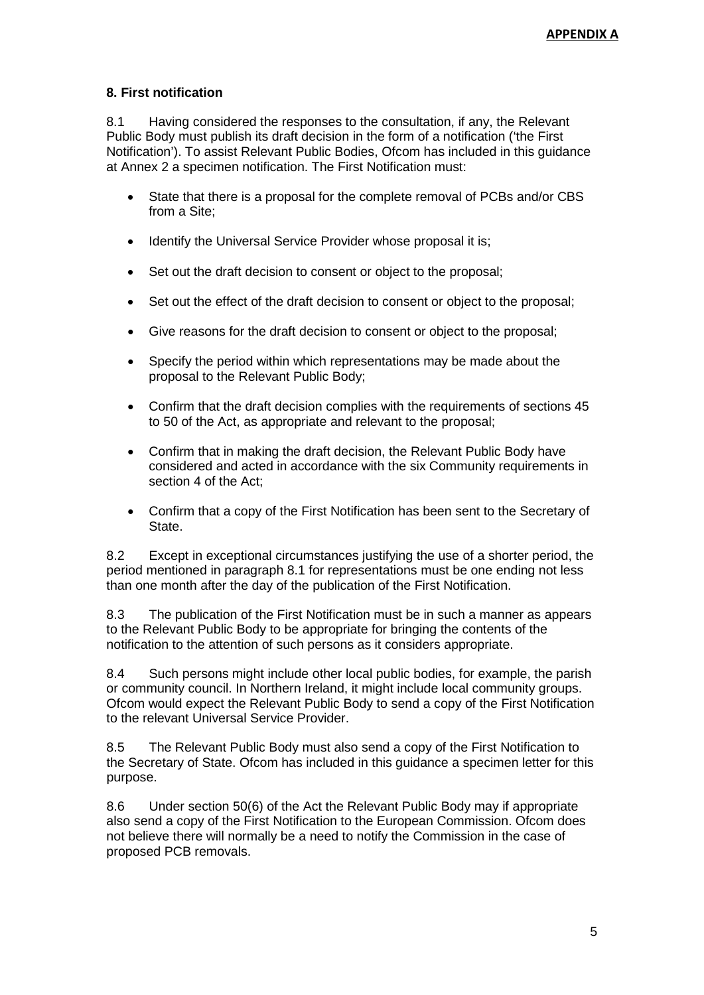# **8. First notification**

8.1 Having considered the responses to the consultation, if any, the Relevant Public Body must publish its draft decision in the form of a notification ('the First Notification'). To assist Relevant Public Bodies, Ofcom has included in this guidance at Annex 2 a specimen notification. The First Notification must:

- State that there is a proposal for the complete removal of PCBs and/or CBS from a Site;
- Identify the Universal Service Provider whose proposal it is;
- Set out the draft decision to consent or object to the proposal;
- Set out the effect of the draft decision to consent or object to the proposal;
- Give reasons for the draft decision to consent or object to the proposal;
- Specify the period within which representations may be made about the proposal to the Relevant Public Body;
- Confirm that the draft decision complies with the requirements of sections 45 to 50 of the Act, as appropriate and relevant to the proposal;
- Confirm that in making the draft decision, the Relevant Public Body have considered and acted in accordance with the six Community requirements in section 4 of the Act;
- Confirm that a copy of the First Notification has been sent to the Secretary of State.

8.2 Except in exceptional circumstances justifying the use of a shorter period, the period mentioned in paragraph 8.1 for representations must be one ending not less than one month after the day of the publication of the First Notification.

8.3 The publication of the First Notification must be in such a manner as appears to the Relevant Public Body to be appropriate for bringing the contents of the notification to the attention of such persons as it considers appropriate.

8.4 Such persons might include other local public bodies, for example, the parish or community council. In Northern Ireland, it might include local community groups. Ofcom would expect the Relevant Public Body to send a copy of the First Notification to the relevant Universal Service Provider.

8.5 The Relevant Public Body must also send a copy of the First Notification to the Secretary of State. Ofcom has included in this guidance a specimen letter for this purpose.

8.6 Under section 50(6) of the Act the Relevant Public Body may if appropriate also send a copy of the First Notification to the European Commission. Ofcom does not believe there will normally be a need to notify the Commission in the case of proposed PCB removals.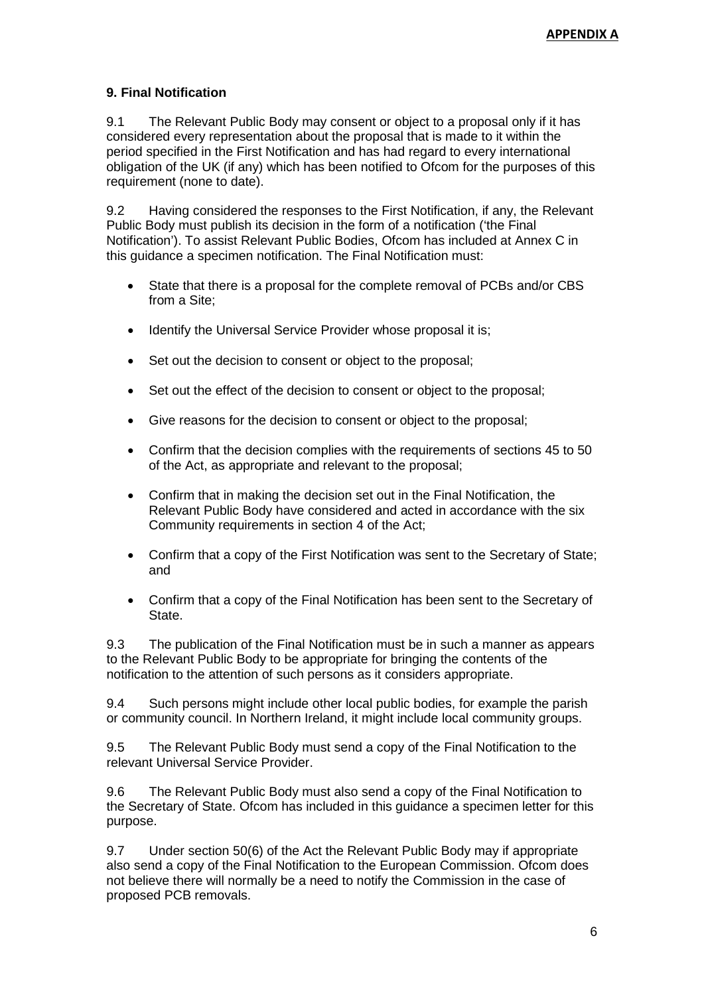# **9. Final Notification**

9.1 The Relevant Public Body may consent or object to a proposal only if it has considered every representation about the proposal that is made to it within the period specified in the First Notification and has had regard to every international obligation of the UK (if any) which has been notified to Ofcom for the purposes of this requirement (none to date).

9.2 Having considered the responses to the First Notification, if any, the Relevant Public Body must publish its decision in the form of a notification ('the Final Notification'). To assist Relevant Public Bodies, Ofcom has included at Annex C in this guidance a specimen notification. The Final Notification must:

- State that there is a proposal for the complete removal of PCBs and/or CBS from a Site;
- Identify the Universal Service Provider whose proposal it is;
- Set out the decision to consent or object to the proposal;
- Set out the effect of the decision to consent or object to the proposal;
- Give reasons for the decision to consent or object to the proposal;
- Confirm that the decision complies with the requirements of sections 45 to 50 of the Act, as appropriate and relevant to the proposal;
- Confirm that in making the decision set out in the Final Notification, the Relevant Public Body have considered and acted in accordance with the six Community requirements in section 4 of the Act;
- Confirm that a copy of the First Notification was sent to the Secretary of State; and
- Confirm that a copy of the Final Notification has been sent to the Secretary of State.

9.3 The publication of the Final Notification must be in such a manner as appears to the Relevant Public Body to be appropriate for bringing the contents of the notification to the attention of such persons as it considers appropriate.

9.4 Such persons might include other local public bodies, for example the parish or community council. In Northern Ireland, it might include local community groups.

9.5 The Relevant Public Body must send a copy of the Final Notification to the relevant Universal Service Provider.

9.6 The Relevant Public Body must also send a copy of the Final Notification to the Secretary of State. Ofcom has included in this guidance a specimen letter for this purpose.

9.7 Under section 50(6) of the Act the Relevant Public Body may if appropriate also send a copy of the Final Notification to the European Commission. Ofcom does not believe there will normally be a need to notify the Commission in the case of proposed PCB removals.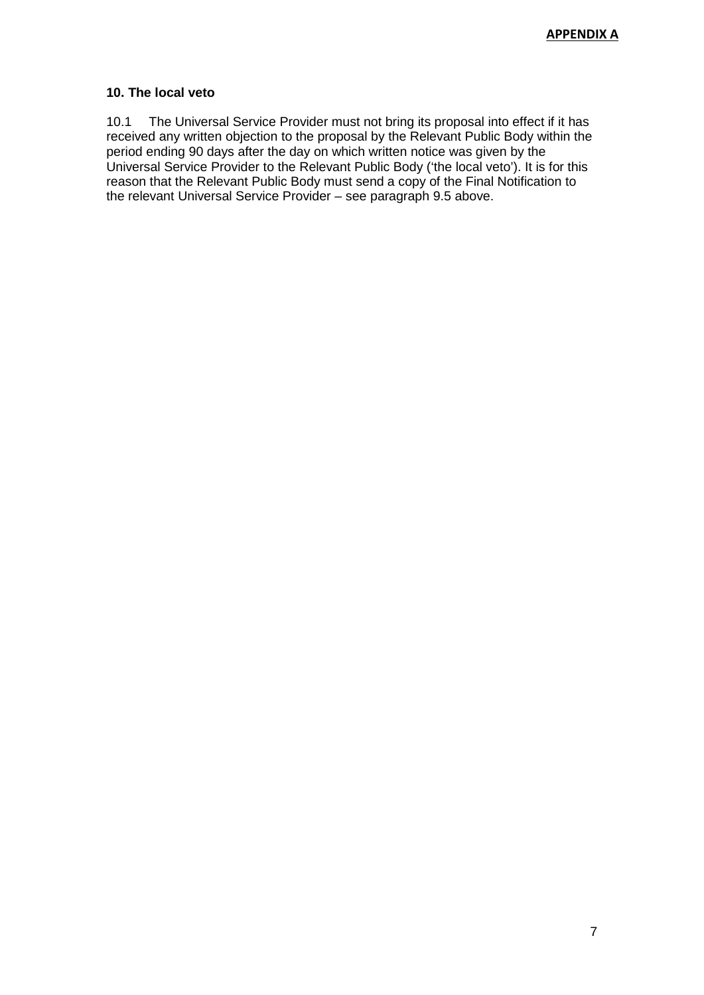### **10. The local veto**

10.1 The Universal Service Provider must not bring its proposal into effect if it has received any written objection to the proposal by the Relevant Public Body within the period ending 90 days after the day on which written notice was given by the Universal Service Provider to the Relevant Public Body ('the local veto'). It is for this reason that the Relevant Public Body must send a copy of the Final Notification to the relevant Universal Service Provider – see paragraph 9.5 above.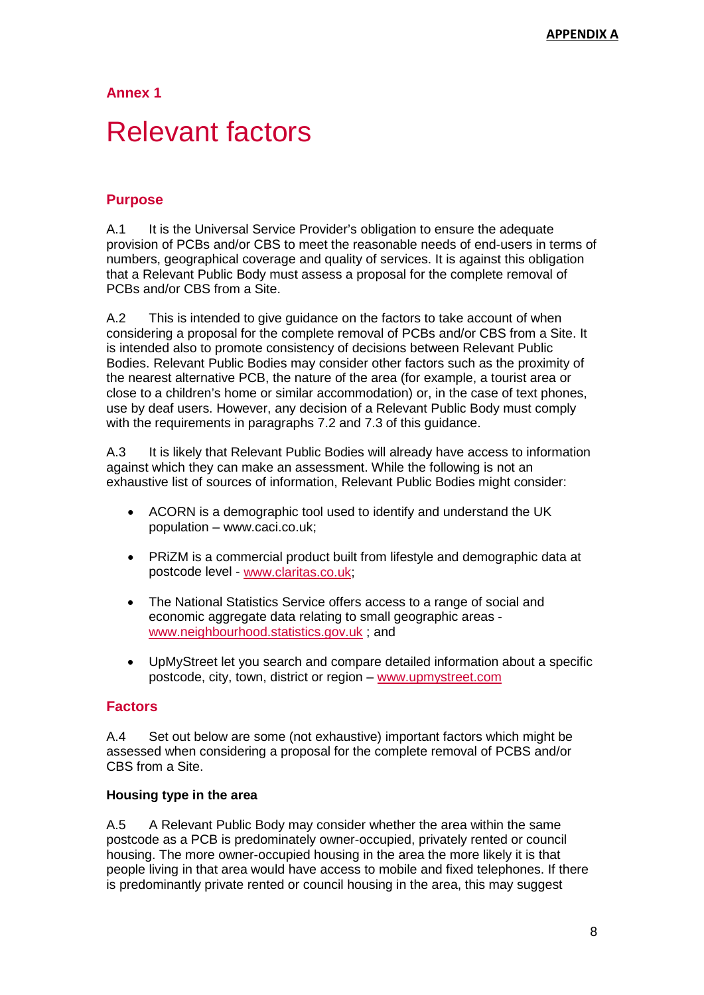# **Relevant factors**

# **Purpose**

A.1 It is the Universal Service Provider's obligation to ensure the adequate provision of PCBs and/or CBS to meet the reasonable needs of end-users in terms of numbers, geographical coverage and quality of services. It is against this obligation that a Relevant Public Body must assess a proposal for the complete removal of PCBs and/or CBS from a Site.

A.2 This is intended to give guidance on the factors to take account of when considering a proposal for the complete removal of PCBs and/or CBS from a Site. It is intended also to promote consistency of decisions between Relevant Public Bodies. Relevant Public Bodies may consider other factors such as the proximity of the nearest alternative PCB, the nature of the area (for example, a tourist area or close to a children's home or similar accommodation) or, in the case of text phones, use by deaf users. However, any decision of a Relevant Public Body must comply with the requirements in paragraphs 7.2 and 7.3 of this guidance.

A.3 It is likely that Relevant Public Bodies will already have access to information against which they can make an assessment. While the following is not an exhaustive list of sources of information, Relevant Public Bodies might consider:

- ACORN is a demographic tool used to identify and understand the UK population – www.caci.co.uk;
- PRiZM is a commercial product built from lifestyle and demographic data at postcode level - [www.claritas.co.uk;](http://www.claritas.co.uk/)
- The National Statistics Service offers access to a range of social and economic aggregate data relating to small geographic areas [www.neighbourhood.statistics.gov.uk](http://www.neighbourhood.statistics.gov.uk/) ; and
- UpMyStreet let you search and compare detailed information about a specific postcode, city, town, district or region – [www.upmystreet.com](http://www.upmystreet.com/)

# **Factors**

A.4 Set out below are some (not exhaustive) important factors which might be assessed when considering a proposal for the complete removal of PCBS and/or CBS from a Site.

# **Housing type in the area**

A.5 A Relevant Public Body may consider whether the area within the same postcode as a PCB is predominately owner-occupied, privately rented or council housing. The more owner-occupied housing in the area the more likely it is that people living in that area would have access to mobile and fixed telephones. If there is predominantly private rented or council housing in the area, this may suggest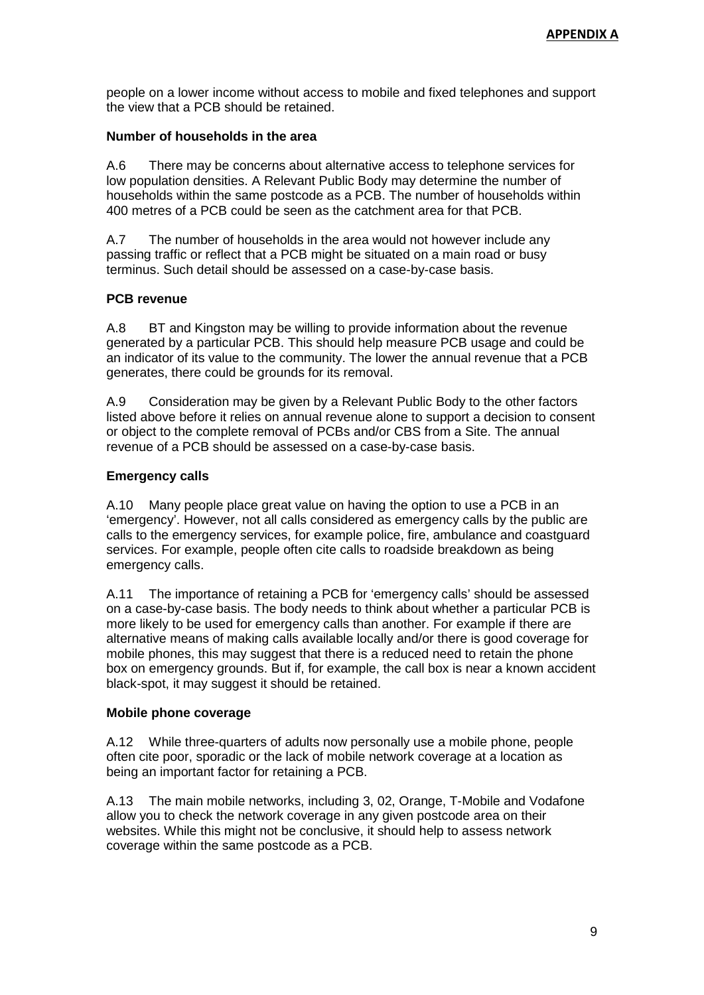people on a lower income without access to mobile and fixed telephones and support the view that a PCB should be retained.

### **Number of households in the area**

A.6 There may be concerns about alternative access to telephone services for low population densities. A Relevant Public Body may determine the number of households within the same postcode as a PCB. The number of households within 400 metres of a PCB could be seen as the catchment area for that PCB.

A.7 The number of households in the area would not however include any passing traffic or reflect that a PCB might be situated on a main road or busy terminus. Such detail should be assessed on a case-by-case basis.

### **PCB revenue**

A.8 BT and Kingston may be willing to provide information about the revenue generated by a particular PCB. This should help measure PCB usage and could be an indicator of its value to the community. The lower the annual revenue that a PCB generates, there could be grounds for its removal.

A.9 Consideration may be given by a Relevant Public Body to the other factors listed above before it relies on annual revenue alone to support a decision to consent or object to the complete removal of PCBs and/or CBS from a Site. The annual revenue of a PCB should be assessed on a case-by-case basis.

# **Emergency calls**

A.10 Many people place great value on having the option to use a PCB in an 'emergency'. However, not all calls considered as emergency calls by the public are calls to the emergency services, for example police, fire, ambulance and coastguard services. For example, people often cite calls to roadside breakdown as being emergency calls.

A.11 The importance of retaining a PCB for 'emergency calls' should be assessed on a case-by-case basis. The body needs to think about whether a particular PCB is more likely to be used for emergency calls than another. For example if there are alternative means of making calls available locally and/or there is good coverage for mobile phones, this may suggest that there is a reduced need to retain the phone box on emergency grounds. But if, for example, the call box is near a known accident black-spot, it may suggest it should be retained.

#### **Mobile phone coverage**

A.12 While three-quarters of adults now personally use a mobile phone, people often cite poor, sporadic or the lack of mobile network coverage at a location as being an important factor for retaining a PCB.

A.13 The main mobile networks, including 3, 02, Orange, T-Mobile and Vodafone allow you to check the network coverage in any given postcode area on their websites. While this might not be conclusive, it should help to assess network coverage within the same postcode as a PCB.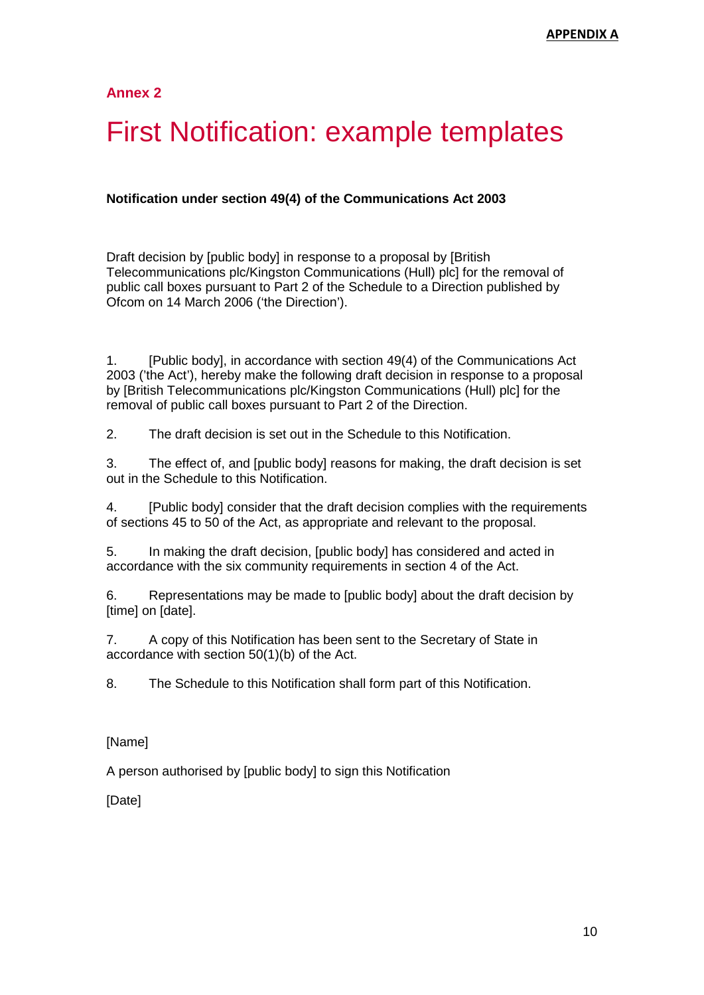# **First Notification: example templates**

### **Notification under section 49(4) of the Communications Act 2003**

Draft decision by [public body] in response to a proposal by [British Telecommunications plc/Kingston Communications (Hull) plc] for the removal of public call boxes pursuant to Part 2 of the Schedule to a Direction published by Ofcom on 14 March 2006 ('the Direction').

1. [Public body], in accordance with section 49(4) of the Communications Act 2003 ('the Act'), hereby make the following draft decision in response to a proposal by [British Telecommunications plc/Kingston Communications (Hull) plc] for the removal of public call boxes pursuant to Part 2 of the Direction.

2. The draft decision is set out in the Schedule to this Notification.

3. The effect of, and [public body] reasons for making, the draft decision is set out in the Schedule to this Notification.

4. [Public body] consider that the draft decision complies with the requirements of sections 45 to 50 of the Act, as appropriate and relevant to the proposal.

5. In making the draft decision, [public body] has considered and acted in accordance with the six community requirements in section 4 of the Act.

6. Representations may be made to [public body] about the draft decision by [time] on [date].

7. A copy of this Notification has been sent to the Secretary of State in accordance with section 50(1)(b) of the Act.

8. The Schedule to this Notification shall form part of this Notification.

#### [Name]

A person authorised by [public body] to sign this Notification

[Date]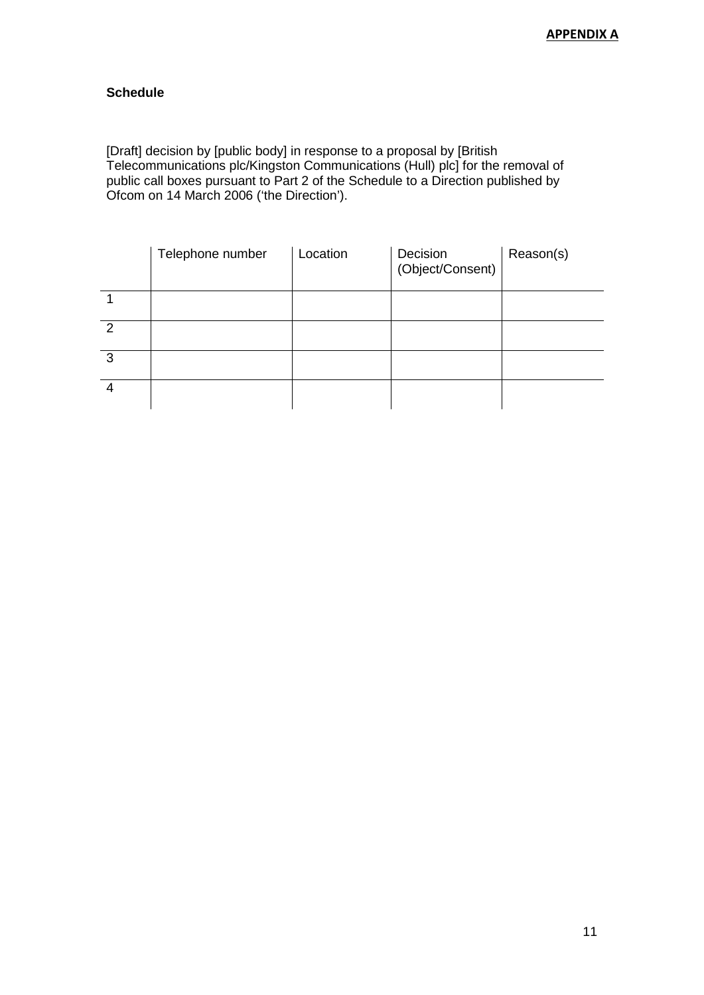# **Schedule**

[Draft] decision by [public body] in response to a proposal by [British Telecommunications plc/Kingston Communications (Hull) plc] for the removal of public call boxes pursuant to Part 2 of the Schedule to a Direction published by Ofcom on 14 March 2006 ('the Direction').

|   | Telephone number | Location | Decision<br>(Object/Consent) | Reason(s) |
|---|------------------|----------|------------------------------|-----------|
|   |                  |          |                              |           |
| 2 |                  |          |                              |           |
| 3 |                  |          |                              |           |
| 4 |                  |          |                              |           |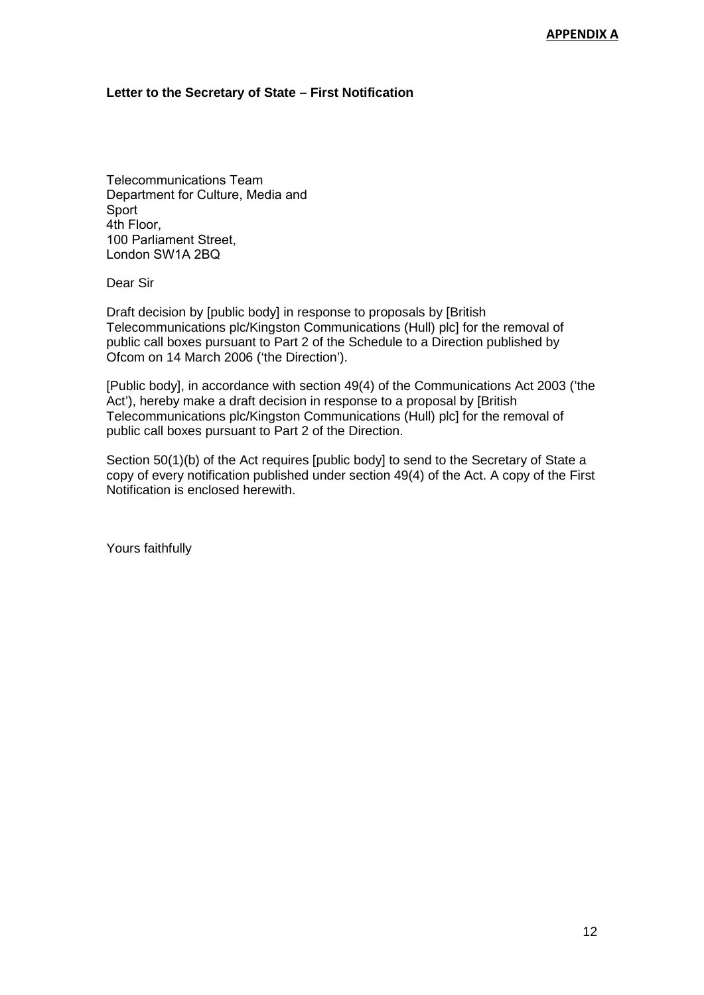### **Letter to the Secretary of State – First Notification**

Telecommunications Team Department for Culture, Media and Sport 4th Floor, 100 Parliament Street, London SW1A 2BQ

Dear Sir

Draft decision by [public body] in response to proposals by [British Telecommunications plc/Kingston Communications (Hull) plc] for the removal of public call boxes pursuant to Part 2 of the Schedule to a Direction published by Ofcom on 14 March 2006 ('the Direction').

[Public body], in accordance with section 49(4) of the Communications Act 2003 ('the Act'), hereby make a draft decision in response to a proposal by [British Telecommunications plc/Kingston Communications (Hull) plc] for the removal of public call boxes pursuant to Part 2 of the Direction.

Section 50(1)(b) of the Act requires [public body] to send to the Secretary of State a copy of every notification published under section 49(4) of the Act. A copy of the First Notification is enclosed herewith.

Yours faithfully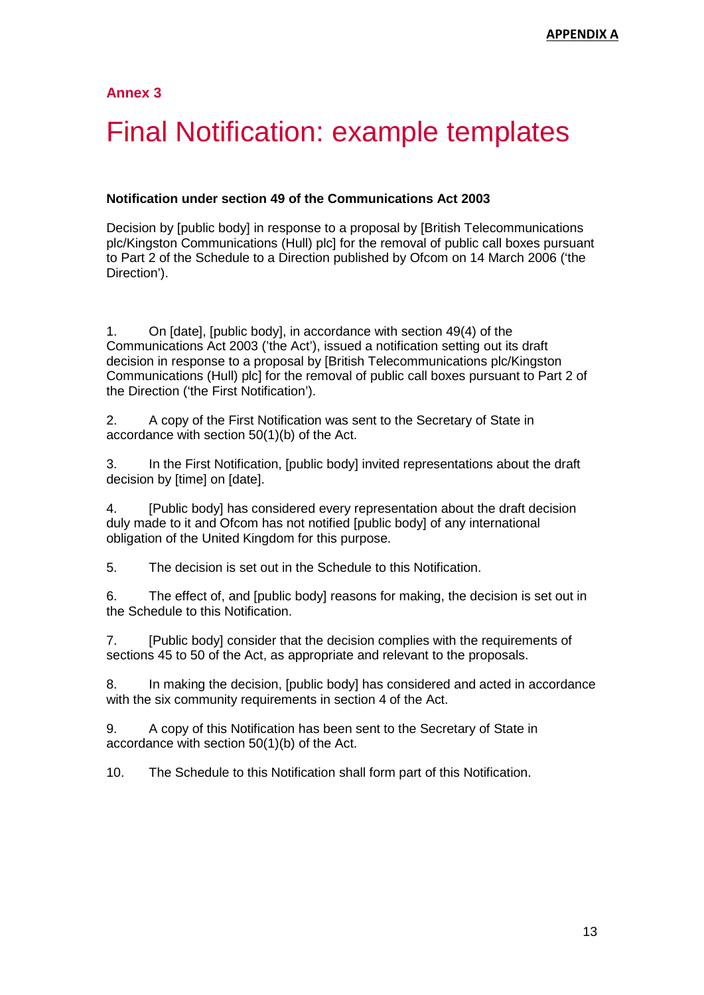# 3 Final Notification: example templates

### **Notification under section 49 of the Communications Act 2003**

Decision by [public body] in response to a proposal by [British Telecommunications plc/Kingston Communications (Hull) plc] for the removal of public call boxes pursuant to Part 2 of the Schedule to a Direction published by Ofcom on 14 March 2006 ('the Direction').

1. On [date], [public body], in accordance with section 49(4) of the Communications Act 2003 ('the Act'), issued a notification setting out its draft decision in response to a proposal by [British Telecommunications plc/Kingston Communications (Hull) plc] for the removal of public call boxes pursuant to Part 2 of the Direction ('the First Notification').

2. A copy of the First Notification was sent to the Secretary of State in accordance with section 50(1)(b) of the Act.

3. In the First Notification, [public body] invited representations about the draft decision by [time] on [date].

4. [Public body] has considered every representation about the draft decision duly made to it and Ofcom has not notified [public body] of any international obligation of the United Kingdom for this purpose.

5. The decision is set out in the Schedule to this Notification.

6. The effect of, and [public body] reasons for making, the decision is set out in the Schedule to this Notification.

7. [Public body] consider that the decision complies with the requirements of sections 45 to 50 of the Act, as appropriate and relevant to the proposals.

8. In making the decision, [public body] has considered and acted in accordance with the six community requirements in section 4 of the Act.

9. A copy of this Notification has been sent to the Secretary of State in accordance with section 50(1)(b) of the Act.

10. The Schedule to this Notification shall form part of this Notification.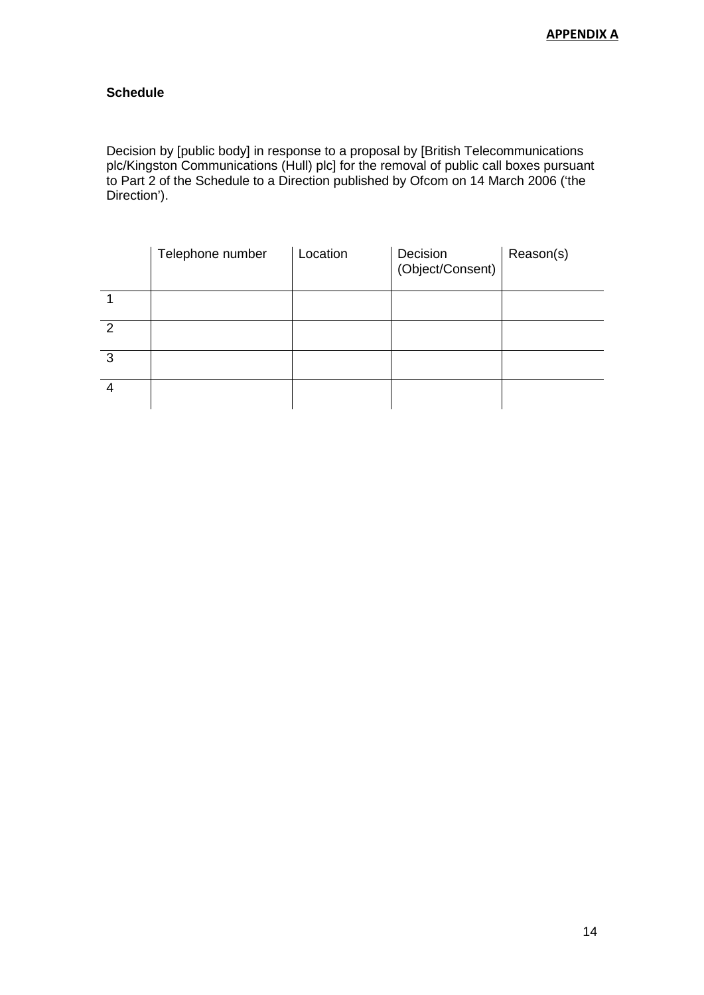# **Schedule**

Decision by [public body] in response to a proposal by [British Telecommunications plc/Kingston Communications (Hull) plc] for the removal of public call boxes pursuant to Part 2 of the Schedule to a Direction published by Ofcom on 14 March 2006 ('the Direction').

|   | Telephone number | Location | Decision<br>(Object/Consent) | Reason(s) |
|---|------------------|----------|------------------------------|-----------|
|   |                  |          |                              |           |
| 2 |                  |          |                              |           |
| 3 |                  |          |                              |           |
|   |                  |          |                              |           |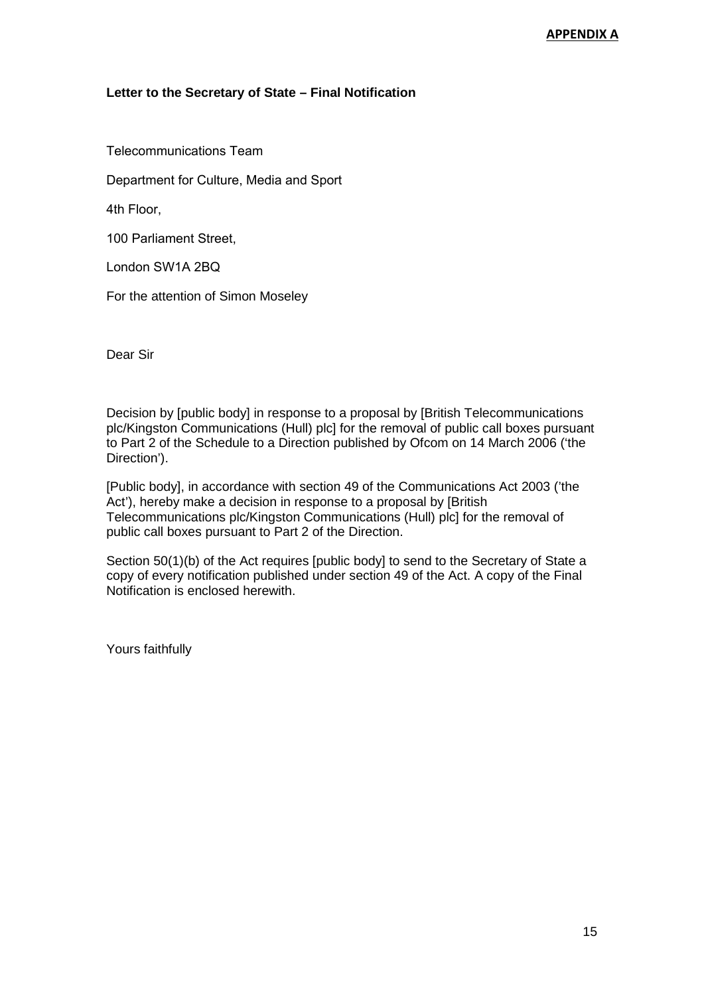### **Letter to the Secretary of State – Final Notification**

Telecommunications Team

Department for Culture, Media and Sport

4th Floor,

100 Parliament Street,

London SW1A 2BQ

For the attention of Simon Moseley

Dear Sir

Decision by [public body] in response to a proposal by [British Telecommunications plc/Kingston Communications (Hull) plc] for the removal of public call boxes pursuant to Part 2 of the Schedule to a Direction published by Ofcom on 14 March 2006 ('the Direction').

[Public body], in accordance with section 49 of the Communications Act 2003 ('the Act'), hereby make a decision in response to a proposal by [British Telecommunications plc/Kingston Communications (Hull) plc] for the removal of public call boxes pursuant to Part 2 of the Direction.

Section 50(1)(b) of the Act requires [public body] to send to the Secretary of State a copy of every notification published under section 49 of the Act. A copy of the Final Notification is enclosed herewith.

Yours faithfully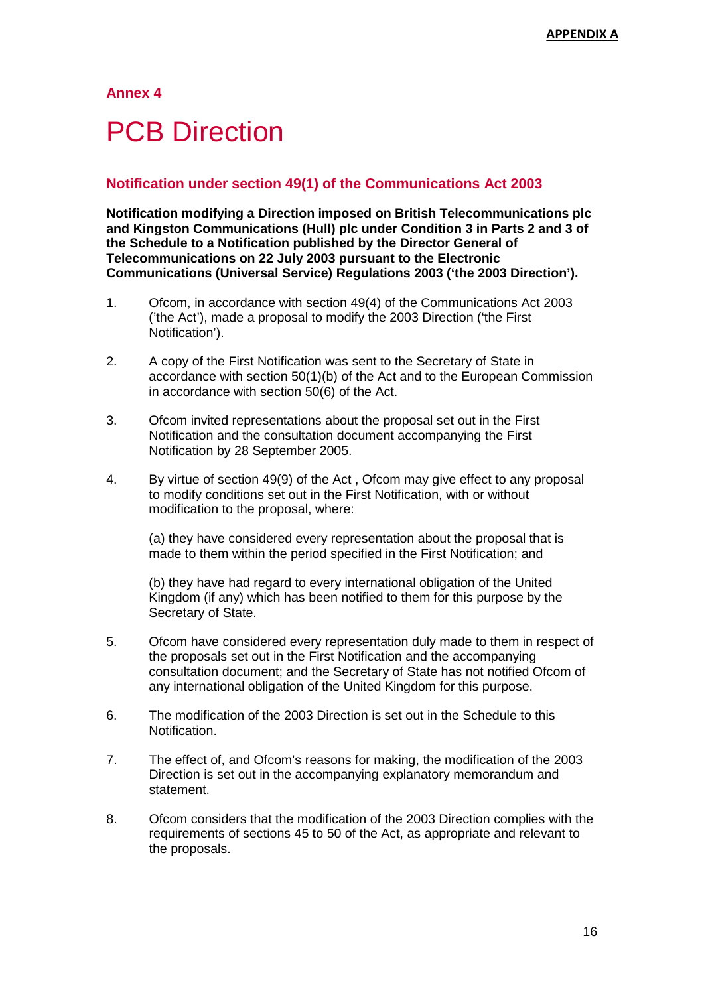# **PCB Direction**

# 3 **Notification under section 49(1) of the Communications Act 2003**

**Notification modifying a Direction imposed on British Telecommunications plc and Kingston Communications (Hull) plc under Condition 3 in Parts 2 and 3 of the Schedule to a Notification published by the Director General of Telecommunications on 22 July 2003 pursuant to the Electronic Communications (Universal Service) Regulations 2003 ('the 2003 Direction').**

- 1. Ofcom, in accordance with section 49(4) of the Communications Act 2003 ('the Act'), made a proposal to modify the 2003 Direction ('the First Notification').
- 2. A copy of the First Notification was sent to the Secretary of State in accordance with section 50(1)(b) of the Act and to the European Commission in accordance with section 50(6) of the Act.
- 3. Ofcom invited representations about the proposal set out in the First Notification and the consultation document accompanying the First Notification by 28 September 2005.
- 4. By virtue of section 49(9) of the Act , Ofcom may give effect to any proposal to modify conditions set out in the First Notification, with or without modification to the proposal, where:

(a) they have considered every representation about the proposal that is made to them within the period specified in the First Notification; and

(b) they have had regard to every international obligation of the United Kingdom (if any) which has been notified to them for this purpose by the Secretary of State.

- 5. Ofcom have considered every representation duly made to them in respect of the proposals set out in the First Notification and the accompanying consultation document; and the Secretary of State has not notified Ofcom of any international obligation of the United Kingdom for this purpose.
- 6. The modification of the 2003 Direction is set out in the Schedule to this Notification.
- 7. The effect of, and Ofcom's reasons for making, the modification of the 2003 Direction is set out in the accompanying explanatory memorandum and statement.
- 8. Ofcom considers that the modification of the 2003 Direction complies with the requirements of sections 45 to 50 of the Act, as appropriate and relevant to the proposals.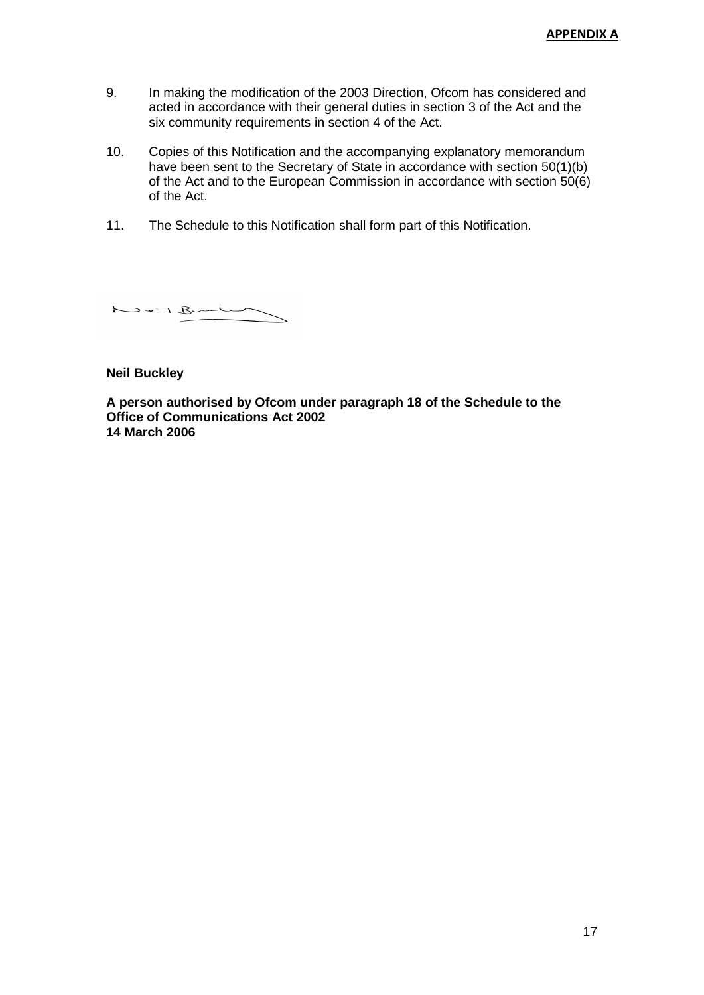- 9. In making the modification of the 2003 Direction, Ofcom has considered and acted in accordance with their general duties in section 3 of the Act and the six community requirements in section 4 of the Act.
- 10. Copies of this Notification and the accompanying explanatory memorandum have been sent to the Secretary of State in accordance with section 50(1)(b) of the Act and to the European Commission in accordance with section 50(6) of the Act.
- 11. The Schedule to this Notification shall form part of this Notification.

Neil Bunhal

**Neil Buckley**

**A person authorised by Ofcom under paragraph 18 of the Schedule to the Office of Communications Act 2002 14 March 2006**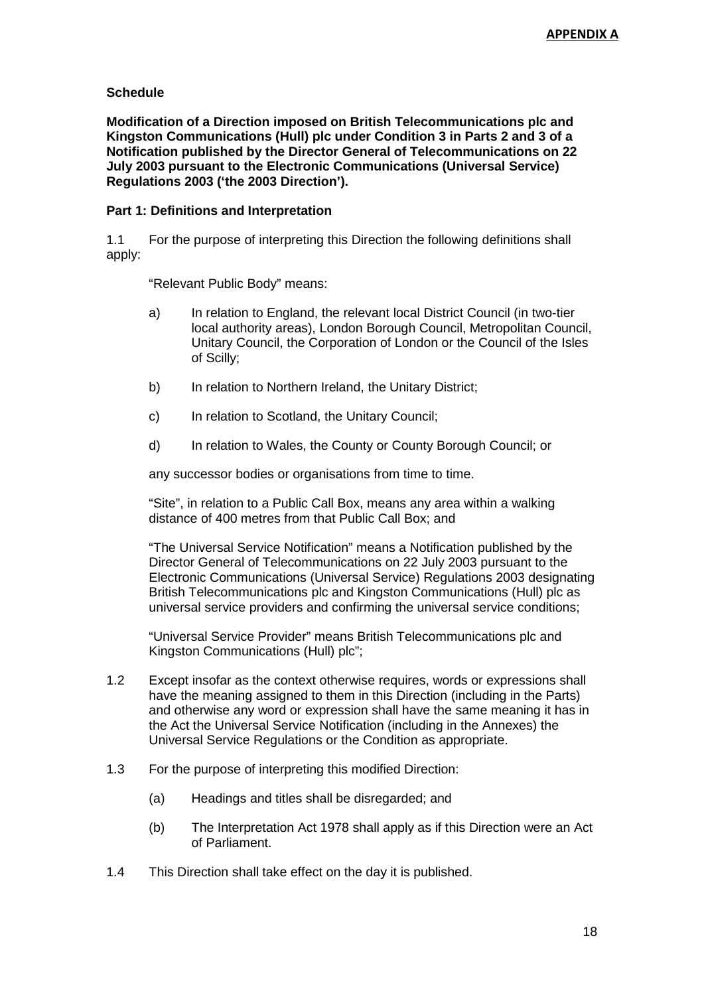### **Schedule**

**Modification of a Direction imposed on British Telecommunications plc and Kingston Communications (Hull) plc under Condition 3 in Parts 2 and 3 of a Notification published by the Director General of Telecommunications on 22 July 2003 pursuant to the Electronic Communications (Universal Service) Regulations 2003 ('the 2003 Direction').**

### **Part 1: Definitions and Interpretation**

1.1 For the purpose of interpreting this Direction the following definitions shall apply:

"Relevant Public Body" means:

- a) In relation to England, the relevant local District Council (in two-tier local authority areas), London Borough Council, Metropolitan Council, Unitary Council, the Corporation of London or the Council of the Isles of Scilly;
- b) In relation to Northern Ireland, the Unitary District;
- c) In relation to Scotland, the Unitary Council;
- d) In relation to Wales, the County or County Borough Council; or

any successor bodies or organisations from time to time.

"Site", in relation to a Public Call Box, means any area within a walking distance of 400 metres from that Public Call Box; and

"The Universal Service Notification" means a Notification published by the Director General of Telecommunications on 22 July 2003 pursuant to the Electronic Communications (Universal Service) Regulations 2003 designating British Telecommunications plc and Kingston Communications (Hull) plc as universal service providers and confirming the universal service conditions;

"Universal Service Provider" means British Telecommunications plc and Kingston Communications (Hull) plc";

- 1.2 Except insofar as the context otherwise requires, words or expressions shall have the meaning assigned to them in this Direction (including in the Parts) and otherwise any word or expression shall have the same meaning it has in the Act the Universal Service Notification (including in the Annexes) the Universal Service Regulations or the Condition as appropriate.
- 1.3 For the purpose of interpreting this modified Direction:
	- (a) Headings and titles shall be disregarded; and
	- (b) The Interpretation Act 1978 shall apply as if this Direction were an Act of Parliament.
- 1.4 This Direction shall take effect on the day it is published.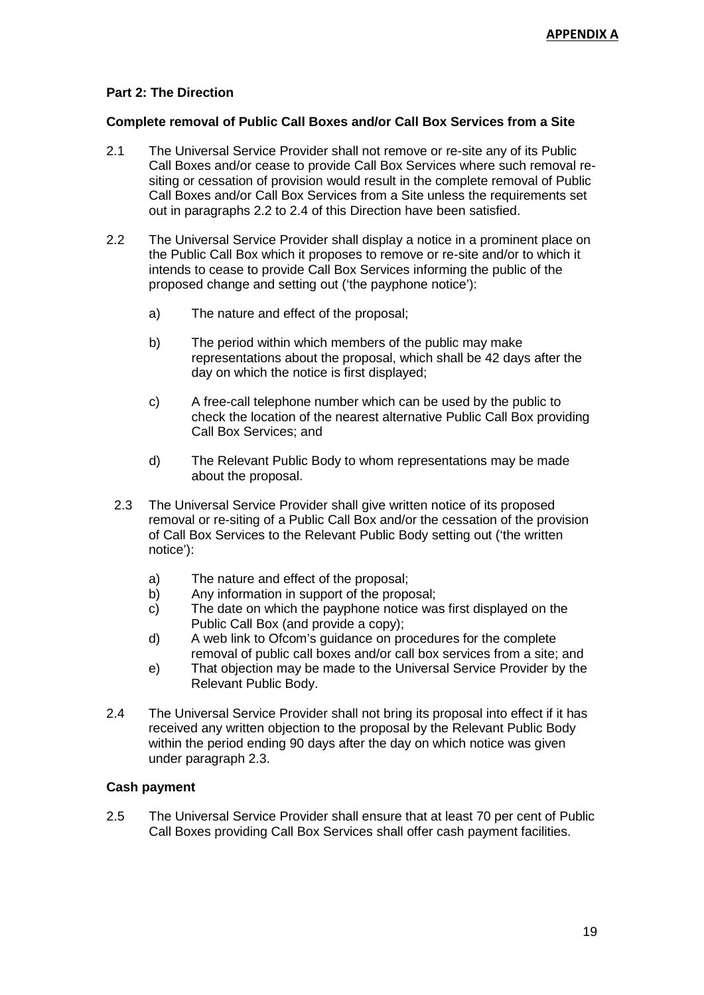# **Part 2: The Direction**

### **Complete removal of Public Call Boxes and/or Call Box Services from a Site**

- 2.1 The Universal Service Provider shall not remove or re-site any of its Public Call Boxes and/or cease to provide Call Box Services where such removal resiting or cessation of provision would result in the complete removal of Public Call Boxes and/or Call Box Services from a Site unless the requirements set out in paragraphs 2.2 to 2.4 of this Direction have been satisfied.
- 2.2 The Universal Service Provider shall display a notice in a prominent place on the Public Call Box which it proposes to remove or re-site and/or to which it intends to cease to provide Call Box Services informing the public of the proposed change and setting out ('the payphone notice'):
	- a) The nature and effect of the proposal;
	- b) The period within which members of the public may make representations about the proposal, which shall be 42 days after the day on which the notice is first displayed;
	- c) A free-call telephone number which can be used by the public to check the location of the nearest alternative Public Call Box providing Call Box Services; and
	- d) The Relevant Public Body to whom representations may be made about the proposal.
	- 2.3 The Universal Service Provider shall give written notice of its proposed removal or re-siting of a Public Call Box and/or the cessation of the provision of Call Box Services to the Relevant Public Body setting out ('the written notice'):
		- a) The nature and effect of the proposal;
		- b) Any information in support of the proposal;
		- c) The date on which the payphone notice was first displayed on the Public Call Box (and provide a copy);
		- d) A web link to Ofcom's guidance on procedures for the complete removal of public call boxes and/or call box services from a site; and
		- e) That objection may be made to the Universal Service Provider by the Relevant Public Body.
- 2.4 The Universal Service Provider shall not bring its proposal into effect if it has received any written objection to the proposal by the Relevant Public Body within the period ending 90 days after the day on which notice was given under paragraph 2.3.

# **Cash payment**

2.5 The Universal Service Provider shall ensure that at least 70 per cent of Public Call Boxes providing Call Box Services shall offer cash payment facilities.